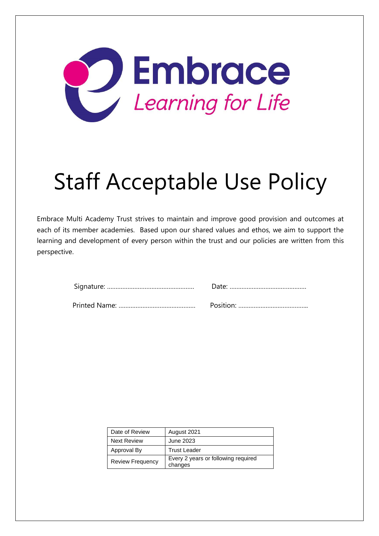

# Staff Acceptable Use Policy

Embrace Multi Academy Trust strives to maintain and improve good provision and outcomes at each of its member academies. Based upon our shared values and ethos, we aim to support the learning and development of every person within the trust and our policies are written from this perspective.

| Date of Review          | August 2021                                    |
|-------------------------|------------------------------------------------|
| <b>Next Review</b>      | June 2023                                      |
| Approval By             | <b>Trust Leader</b>                            |
| <b>Review Frequency</b> | Every 2 years or following required<br>changes |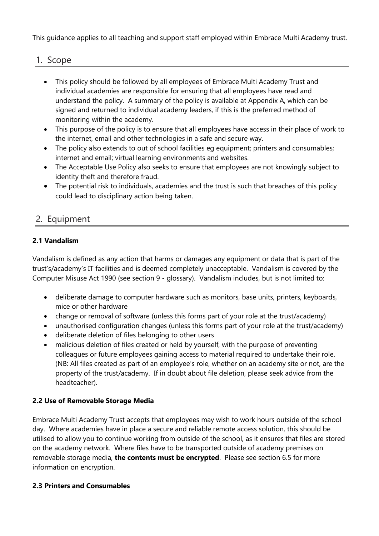This guidance applies to all teaching and support staff employed within Embrace Multi Academy trust.

## 1. Scope

- This policy should be followed by all employees of Embrace Multi Academy Trust and individual academies are responsible for ensuring that all employees have read and understand the policy. A summary of the policy is available at Appendix A, which can be signed and returned to individual academy leaders, if this is the preferred method of monitoring within the academy.
- This purpose of the policy is to ensure that all employees have access in their place of work to the internet, email and other technologies in a safe and secure way.
- The policy also extends to out of school facilities eg equipment; printers and consumables; internet and email; virtual learning environments and websites.
- The Acceptable Use Policy also seeks to ensure that employees are not knowingly subject to identity theft and therefore fraud.
- The potential risk to individuals, academies and the trust is such that breaches of this policy could lead to disciplinary action being taken.

# 2. Equipment

## **2.1 Vandalism**

Vandalism is defined as any action that harms or damages any equipment or data that is part of the trust's/academy's IT facilities and is deemed completely unacceptable. Vandalism is covered by the Computer Misuse Act 1990 (see section 9 - glossary). Vandalism includes, but is not limited to:

- deliberate damage to computer hardware such as monitors, base units, printers, keyboards, mice or other hardware
- change or removal of software (unless this forms part of your role at the trust/academy)
- unauthorised configuration changes (unless this forms part of your role at the trust/academy)
- deliberate deletion of files belonging to other users
- malicious deletion of files created or held by yourself, with the purpose of preventing colleagues or future employees gaining access to material required to undertake their role. (NB: All files created as part of an employee's role, whether on an academy site or not, are the property of the trust/academy. If in doubt about file deletion, please seek advice from the headteacher).

#### **2.2 Use of Removable Storage Media**

Embrace Multi Academy Trust accepts that employees may wish to work hours outside of the school day. Where academies have in place a secure and reliable remote access solution, this should be utilised to allow you to continue working from outside of the school, as it ensures that files are stored on the academy network. Where files have to be transported outside of academy premises on removable storage media, **the contents must be encrypted**. Please see section 6.5 for more information on encryption.

#### **2.3 Printers and Consumables**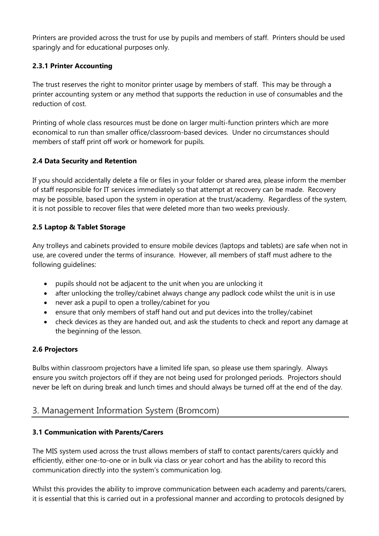Printers are provided across the trust for use by pupils and members of staff. Printers should be used sparingly and for educational purposes only.

#### **2.3.1 Printer Accounting**

The trust reserves the right to monitor printer usage by members of staff. This may be through a printer accounting system or any method that supports the reduction in use of consumables and the reduction of cost.

Printing of whole class resources must be done on larger multi-function printers which are more economical to run than smaller office/classroom-based devices. Under no circumstances should members of staff print off work or homework for pupils.

#### **2.4 Data Security and Retention**

If you should accidentally delete a file or files in your folder or shared area, please inform the member of staff responsible for IT services immediately so that attempt at recovery can be made. Recovery may be possible, based upon the system in operation at the trust/academy. Regardless of the system, it is not possible to recover files that were deleted more than two weeks previously.

#### **2.5 Laptop & Tablet Storage**

Any trolleys and cabinets provided to ensure mobile devices (laptops and tablets) are safe when not in use, are covered under the terms of insurance. However, all members of staff must adhere to the following guidelines:

- pupils should not be adjacent to the unit when you are unlocking it
- after unlocking the trolley/cabinet always change any padlock code whilst the unit is in use
- never ask a pupil to open a trolley/cabinet for you
- ensure that only members of staff hand out and put devices into the trolley/cabinet
- check devices as they are handed out, and ask the students to check and report any damage at the beginning of the lesson.

#### **2.6 Projectors**

Bulbs within classroom projectors have a limited life span, so please use them sparingly. Always ensure you switch projectors off if they are not being used for prolonged periods. Projectors should never be left on during break and lunch times and should always be turned off at the end of the day.

# 3. Management Information System (Bromcom)

#### **3.1 Communication with Parents/Carers**

The MIS system used across the trust allows members of staff to contact parents/carers quickly and efficiently, either one-to-one or in bulk via class or year cohort and has the ability to record this communication directly into the system's communication log.

Whilst this provides the ability to improve communication between each academy and parents/carers, it is essential that this is carried out in a professional manner and according to protocols designed by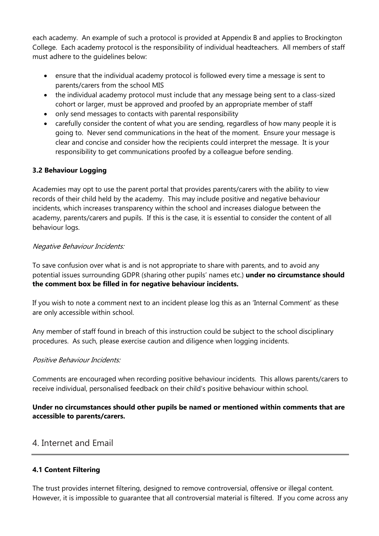each academy. An example of such a protocol is provided at Appendix B and applies to Brockington College. Each academy protocol is the responsibility of individual headteachers. All members of staff must adhere to the guidelines below:

- ensure that the individual academy protocol is followed every time a message is sent to parents/carers from the school MIS
- the individual academy protocol must include that any message being sent to a class-sized cohort or larger, must be approved and proofed by an appropriate member of staff
- only send messages to contacts with parental responsibility
- carefully consider the content of what you are sending, regardless of how many people it is going to. Never send communications in the heat of the moment. Ensure your message is clear and concise and consider how the recipients could interpret the message. It is your responsibility to get communications proofed by a colleague before sending.

#### **3.2 Behaviour Logging**

Academies may opt to use the parent portal that provides parents/carers with the ability to view records of their child held by the academy. This may include positive and negative behaviour incidents, which increases transparency within the school and increases dialogue between the academy, parents/carers and pupils. If this is the case, it is essential to consider the content of all behaviour logs.

#### Negative Behaviour Incidents:

To save confusion over what is and is not appropriate to share with parents, and to avoid any potential issues surrounding GDPR (sharing other pupils' names etc.) **under no circumstance should the comment box be filled in for negative behaviour incidents.**

If you wish to note a comment next to an incident please log this as an 'Internal Comment' as these are only accessible within school.

Any member of staff found in breach of this instruction could be subject to the school disciplinary procedures. As such, please exercise caution and diligence when logging incidents.

#### Positive Behaviour Incidents:

Comments are encouraged when recording positive behaviour incidents. This allows parents/carers to receive individual, personalised feedback on their child's positive behaviour within school.

#### **Under no circumstances should other pupils be named or mentioned within comments that are accessible to parents/carers.**

# 4. Internet and Email

#### **4.1 Content Filtering**

The trust provides internet filtering, designed to remove controversial, offensive or illegal content. However, it is impossible to guarantee that all controversial material is filtered. If you come across any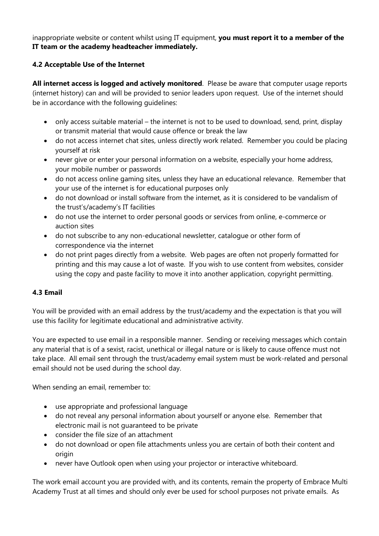inappropriate website or content whilst using IT equipment, **you must report it to a member of the IT team or the academy headteacher immediately.**

#### **4.2 Acceptable Use of the Internet**

**All internet access is logged and actively monitored**. Please be aware that computer usage reports (internet history) can and will be provided to senior leaders upon request. Use of the internet should be in accordance with the following guidelines:

- only access suitable material the internet is not to be used to download, send, print, display or transmit material that would cause offence or break the law
- do not access internet chat sites, unless directly work related. Remember you could be placing yourself at risk
- never give or enter your personal information on a website, especially your home address, your mobile number or passwords
- do not access online gaming sites, unless they have an educational relevance. Remember that your use of the internet is for educational purposes only
- do not download or install software from the internet, as it is considered to be vandalism of the trust's/academy's IT facilities
- do not use the internet to order personal goods or services from online, e-commerce or auction sites
- do not subscribe to any non-educational newsletter, catalogue or other form of correspondence via the internet
- do not print pages directly from a website. Web pages are often not properly formatted for printing and this may cause a lot of waste. If you wish to use content from websites, consider using the copy and paste facility to move it into another application, copyright permitting.

#### **4.3 Email**

You will be provided with an email address by the trust/academy and the expectation is that you will use this facility for legitimate educational and administrative activity.

You are expected to use email in a responsible manner. Sending or receiving messages which contain any material that is of a sexist, racist, unethical or illegal nature or is likely to cause offence must not take place. All email sent through the trust/academy email system must be work-related and personal email should not be used during the school day.

When sending an email, remember to:

- use appropriate and professional language
- do not reveal any personal information about yourself or anyone else. Remember that electronic mail is not guaranteed to be private
- consider the file size of an attachment
- do not download or open file attachments unless you are certain of both their content and origin
- never have Outlook open when using your projector or interactive whiteboard.

The work email account you are provided with, and its contents, remain the property of Embrace Multi Academy Trust at all times and should only ever be used for school purposes not private emails. As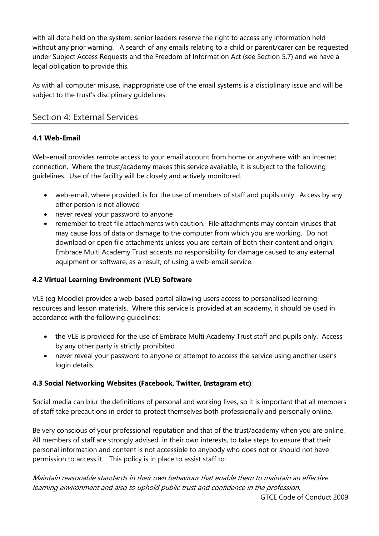with all data held on the system, senior leaders reserve the right to access any information held without any prior warning. A search of any emails relating to a child or parent/carer can be requested under Subject Access Requests and the Freedom of Information Act (see Section 5.7) and we have a legal obligation to provide this.

As with all computer misuse, inappropriate use of the email systems is a disciplinary issue and will be subject to the trust's disciplinary guidelines.

# Section 4: External Services

## **4.1 Web-Email**

Web-email provides remote access to your email account from home or anywhere with an internet connection. Where the trust/academy makes this service available, it is subject to the following guidelines. Use of the facility will be closely and actively monitored.

- web-email, where provided, is for the use of members of staff and pupils only. Access by any other person is not allowed
- never reveal your password to anyone
- remember to treat file attachments with caution. File attachments may contain viruses that may cause loss of data or damage to the computer from which you are working. Do not download or open file attachments unless you are certain of both their content and origin. Embrace Multi Academy Trust accepts no responsibility for damage caused to any external equipment or software, as a result, of using a web-email service.

#### **4.2 Virtual Learning Environment (VLE) Software**

VLE (eg Moodle) provides a web-based portal allowing users access to personalised learning resources and lesson materials. Where this service is provided at an academy, it should be used in accordance with the following guidelines:

- the VLE is provided for the use of Embrace Multi Academy Trust staff and pupils only. Access by any other party is strictly prohibited
- never reveal your password to anyone or attempt to access the service using another user's login details.

#### **4.3 Social Networking Websites (Facebook, Twitter, Instagram etc)**

Social media can blur the definitions of personal and working lives, so it is important that all members of staff take precautions in order to protect themselves both professionally and personally online.

Be very conscious of your professional reputation and that of the trust/academy when you are online. All members of staff are strongly advised, in their own interests, to take steps to ensure that their personal information and content is not accessible to anybody who does not or should not have permission to access it. This policy is in place to assist staff to:

Maintain reasonable standards in their own behaviour that enable them to maintain an effective learning environment and also to uphold public trust and confidence in the profession. GTCE Code of Conduct 2009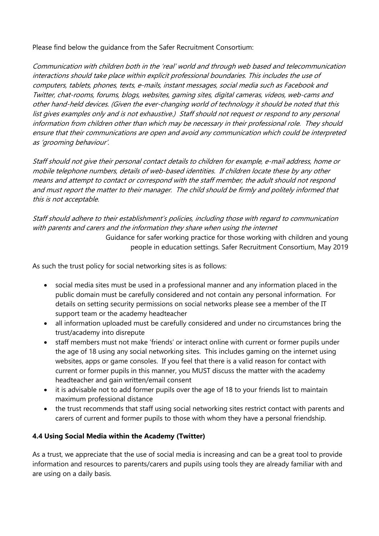Please find below the guidance from the Safer Recruitment Consortium:

Communication with children both in the 'real' world and through web based and telecommunication interactions should take place within explicit professional boundaries. This includes the use of computers, tablets, phones, texts, e-mails, instant messages, social media such as Facebook and Twitter, chat-rooms, forums, blogs, websites, gaming sites, digital cameras, videos, web-cams and other hand-held devices. (Given the ever-changing world of technology it should be noted that this list gives examples only and is not exhaustive.) Staff should not request or respond to any personal information from children other than which may be necessary in their professional role. They should ensure that their communications are open and avoid any communication which could be interpreted as 'grooming behaviour'.

Staff should not give their personal contact details to children for example, e-mail address, home or mobile telephone numbers, details of web-based identities. If children locate these by any other means and attempt to contact or correspond with the staff member, the adult should not respond and must report the matter to their manager. The child should be firmly and politely informed that this is not acceptable.

### Staff should adhere to their establishment's policies, including those with regard to communication with parents and carers and the information they share when using the internet

Guidance for safer working practice for those working with children and young people in education settings. Safer Recruitment Consortium, May 2019

As such the trust policy for social networking sites is as follows:

- social media sites must be used in a professional manner and any information placed in the public domain must be carefully considered and not contain any personal information. For details on setting security permissions on social networks please see a member of the IT support team or the academy headteacher
- all information uploaded must be carefully considered and under no circumstances bring the trust/academy into disrepute
- staff members must not make 'friends' or interact online with current or former pupils under the age of 18 using any social networking sites. This includes gaming on the internet using websites, apps or game consoles. If you feel that there is a valid reason for contact with current or former pupils in this manner, you MUST discuss the matter with the academy headteacher and gain written/email consent
- it is advisable not to add former pupils over the age of 18 to your friends list to maintain maximum professional distance
- the trust recommends that staff using social networking sites restrict contact with parents and carers of current and former pupils to those with whom they have a personal friendship.

#### **4.4 Using Social Media within the Academy (Twitter)**

As a trust, we appreciate that the use of social media is increasing and can be a great tool to provide information and resources to parents/carers and pupils using tools they are already familiar with and are using on a daily basis.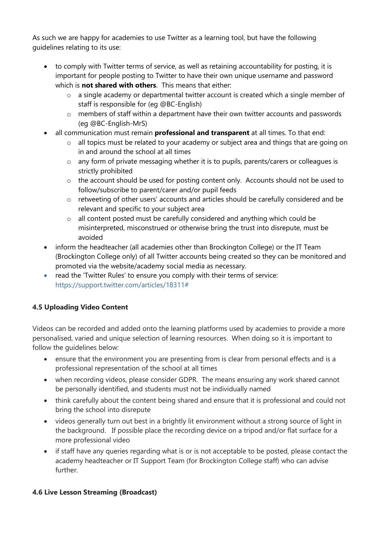As such we are happy for academies to use Twitter as a learning tool, but have the following guidelines relating to its use:

- to comply with Twitter terms of service, as well as retaining accountability for posting, it is important for people posting to Twitter to have their own unique username and password which is **not shared with others**. This means that either:
	- o a single academy or departmental twitter account is created which a single member of staff is responsible for (eg @BC-English)
	- o members of staff within a department have their own twitter accounts and passwords (eg @BC-English-MrS)
- all communication must remain **professional and transparent** at all times. To that end:
	- o all topics must be related to your academy or subject area and things that are going on in and around the school at all times
	- o any form of private messaging whether it is to pupils, parents/carers or colleagues is strictly prohibited
	- o the account should be used for posting content only. Accounts should not be used to follow/subscribe to parent/carer and/or pupil feeds
	- o retweeting of other users' accounts and articles should be carefully considered and be relevant and specific to your subject area
	- o all content posted must be carefully considered and anything which could be misinterpreted, misconstrued or otherwise bring the trust into disrepute, must be avoided
- inform the headteacher (all academies other than Brockington College) or the IT Team (Brockington College only) of all Twitter accounts being created so they can be monitored and promoted via the website/academy social media as necessary.
- read the 'Twitter Rules' to ensure you comply with their terms of service: [https://support.twitter.com/articles/18311#](https://support.twitter.com/articles/18311)

## **4.5 Uploading Video Content**

Videos can be recorded and added onto the learning platforms used by academies to provide a more personalised, varied and unique selection of learning resources. When doing so it is important to follow the guidelines below:

- ensure that the environment you are presenting from is clear from personal effects and is a professional representation of the school at all times
- when recording videos, please consider GDPR. The means ensuring any work shared cannot be personally identified, and students must not be individually named
- think carefully about the content being shared and ensure that it is professional and could not bring the school into disrepute
- videos generally turn out best in a brightly lit environment without a strong source of light in the background. If possible place the recording device on a tripod and/or flat surface for a more professional video
- if staff have any queries regarding what is or is not acceptable to be posted, please contact the academy headteacher or IT Support Team (for Brockington College staff) who can advise further.

#### **4.6 Live Lesson Streaming (Broadcast)**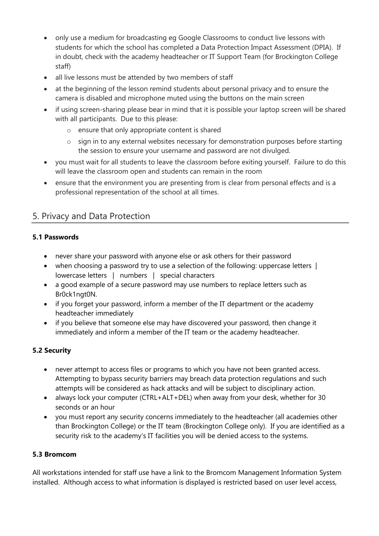- only use a medium for broadcasting eg Google Classrooms to conduct live lessons with students for which the school has completed a Data Protection Impact Assessment (DPIA). If in doubt, check with the academy headteacher or IT Support Team (for Brockington College staff)
- all live lessons must be attended by two members of staff
- at the beginning of the lesson remind students about personal privacy and to ensure the camera is disabled and microphone muted using the buttons on the main screen
- if using screen-sharing please bear in mind that it is possible your laptop screen will be shared with all participants. Due to this please:
	- o ensure that only appropriate content is shared
	- o sign in to any external websites necessary for demonstration purposes before starting the session to ensure your username and password are not divulged.
- you must wait for all students to leave the classroom before exiting yourself. Failure to do this will leave the classroom open and students can remain in the room
- ensure that the environment you are presenting from is clear from personal effects and is a professional representation of the school at all times.

# 5. Privacy and Data Protection

## **5.1 Passwords**

- never share your password with anyone else or ask others for their password
- when choosing a password try to use a selection of the following: uppercase letters | lowercase letters | numbers | special characters
- a good example of a secure password may use numbers to replace letters such as Br0ck1ngt0N.
- if you forget your password, inform a member of the IT department or the academy headteacher immediately
- if you believe that someone else may have discovered your password, then change it immediately and inform a member of the IT team or the academy headteacher.

## **5.2 Security**

- never attempt to access files or programs to which you have not been granted access. Attempting to bypass security barriers may breach data protection regulations and such attempts will be considered as hack attacks and will be subject to disciplinary action.
- always lock your computer (CTRL+ALT+DEL) when away from your desk, whether for 30 seconds or an hour
- you must report any security concerns immediately to the headteacher (all academies other than Brockington College) or the IT team (Brockington College only). If you are identified as a security risk to the academy's IT facilities you will be denied access to the systems.

#### **5.3 Bromcom**

All workstations intended for staff use have a link to the Bromcom Management Information System installed. Although access to what information is displayed is restricted based on user level access,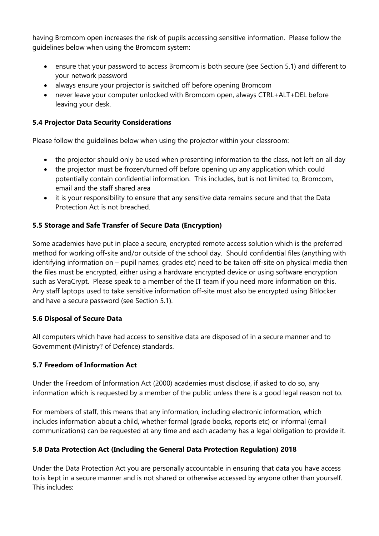having Bromcom open increases the risk of pupils accessing sensitive information. Please follow the guidelines below when using the Bromcom system:

- ensure that your password to access Bromcom is both secure (see Section 5.1) and different to your network password
- always ensure your projector is switched off before opening Bromcom
- never leave your computer unlocked with Bromcom open, always CTRL+ALT+DEL before leaving your desk.

### **5.4 Projector Data Security Considerations**

Please follow the guidelines below when using the projector within your classroom:

- the projector should only be used when presenting information to the class, not left on all day
- the projector must be frozen/turned off before opening up any application which could potentially contain confidential information. This includes, but is not limited to, Bromcom, email and the staff shared area
- it is your responsibility to ensure that any sensitive data remains secure and that the Data Protection Act is not breached.

#### **5.5 Storage and Safe Transfer of Secure Data (Encryption)**

Some academies have put in place a secure, encrypted remote access solution which is the preferred method for working off-site and/or outside of the school day. Should confidential files (anything with identifying information on – pupil names, grades etc) need to be taken off-site on physical media then the files must be encrypted, either using a hardware encrypted device or using software encryption such as VeraCrypt. Please speak to a member of the IT team if you need more information on this. Any staff laptops used to take sensitive information off-site must also be encrypted using Bitlocker and have a secure password (see Section 5.1).

#### **5.6 Disposal of Secure Data**

All computers which have had access to sensitive data are disposed of in a secure manner and to Government (Ministry? of Defence) standards.

#### **5.7 Freedom of Information Act**

Under the Freedom of Information Act (2000) academies must disclose, if asked to do so, any information which is requested by a member of the public unless there is a good legal reason not to.

For members of staff, this means that any information, including electronic information, which includes information about a child, whether formal (grade books, reports etc) or informal (email communications) can be requested at any time and each academy has a legal obligation to provide it.

## **5.8 Data Protection Act (Including the General Data Protection Regulation) 2018**

Under the Data Protection Act you are personally accountable in ensuring that data you have access to is kept in a secure manner and is not shared or otherwise accessed by anyone other than yourself. This includes: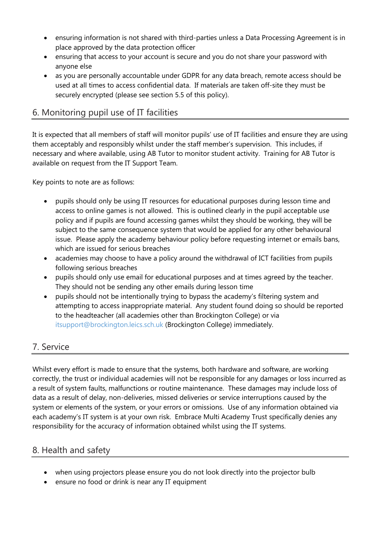- ensuring information is not shared with third-parties unless a Data Processing Agreement is in place approved by the data protection officer
- ensuring that access to your account is secure and you do not share your password with anyone else
- as you are personally accountable under GDPR for any data breach, remote access should be used at all times to access confidential data. If materials are taken off-site they must be securely encrypted (please see section 5.5 of this policy).

# 6. Monitoring pupil use of IT facilities

It is expected that all members of staff will monitor pupils' use of IT facilities and ensure they are using them acceptably and responsibly whilst under the staff member's supervision. This includes, if necessary and where available, using AB Tutor to monitor student activity. Training for AB Tutor is available on request from the IT Support Team.

Key points to note are as follows:

- pupils should only be using IT resources for educational purposes during lesson time and access to online games is not allowed. This is outlined clearly in the pupil acceptable use policy and if pupils are found accessing games whilst they should be working, they will be subject to the same consequence system that would be applied for any other behavioural issue. Please apply the academy behaviour policy before requesting internet or emails bans, which are issued for serious breaches
- academies may choose to have a policy around the withdrawal of ICT facilities from pupils following serious breaches
- pupils should only use email for educational purposes and at times agreed by the teacher. They should not be sending any other emails during lesson time
- pupils should not be intentionally trying to bypass the academy's filtering system and attempting to access inappropriate material. Any student found doing so should be reported to the headteacher (all academies other than Brockington College) or via [itsupport@brockington.leics.sch.uk](mailto:itsupport@brockington.leics.sch.uk) (Brockington College) immediately.

# 7. Service

Whilst every effort is made to ensure that the systems, both hardware and software, are working correctly, the trust or individual academies will not be responsible for any damages or loss incurred as a result of system faults, malfunctions or routine maintenance. These damages may include loss of data as a result of delay, non-deliveries, missed deliveries or service interruptions caused by the system or elements of the system, or your errors or omissions. Use of any information obtained via each academy's IT system is at your own risk. Embrace Multi Academy Trust specifically denies any responsibility for the accuracy of information obtained whilst using the IT systems.

# 8. Health and safety

- when using projectors please ensure you do not look directly into the projector bulb
- ensure no food or drink is near any IT equipment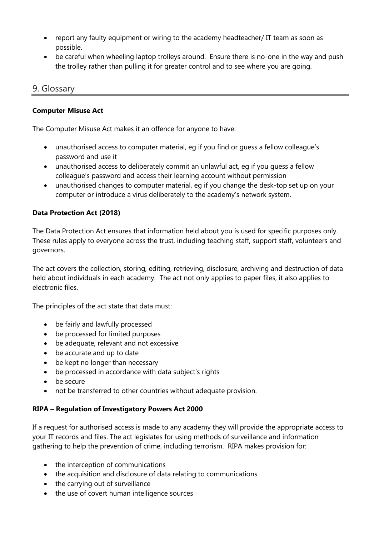- report any faulty equipment or wiring to the academy headteacher/ IT team as soon as possible.
- be careful when wheeling laptop trolleys around. Ensure there is no-one in the way and push the trolley rather than pulling it for greater control and to see where you are going.

## 9. Glossary

#### **Computer Misuse Act**

The Computer Misuse Act makes it an offence for anyone to have:

- unauthorised access to computer material, eg if you find or guess a fellow colleague's password and use it
- unauthorised access to deliberately commit an unlawful act, eg if you guess a fellow colleague's password and access their learning account without permission
- unauthorised changes to computer material, eg if you change the desk-top set up on your computer or introduce a virus deliberately to the academy's network system.

#### **Data Protection Act (2018)**

The Data Protection Act ensures that information held about you is used for specific purposes only. These rules apply to everyone across the trust, including teaching staff, support staff, volunteers and governors.

The act covers the collection, storing, editing, retrieving, disclosure, archiving and destruction of data held about individuals in each academy. The act not only applies to paper files, it also applies to electronic files.

The principles of the act state that data must:

- be fairly and lawfully processed
- be processed for limited purposes
- be adequate, relevant and not excessive
- be accurate and up to date
- be kept no longer than necessary
- be processed in accordance with data subject's rights
- be secure
- not be transferred to other countries without adequate provision.

#### **RIPA – Regulation of Investigatory Powers Act 2000**

If a request for authorised access is made to any academy they will provide the appropriate access to your IT records and files. The act legislates for using methods of surveillance and information gathering to help the prevention of crime, including terrorism. RIPA makes provision for:

- the interception of communications
- the acquisition and disclosure of data relating to communications
- the carrying out of surveillance
- the use of covert human intelligence sources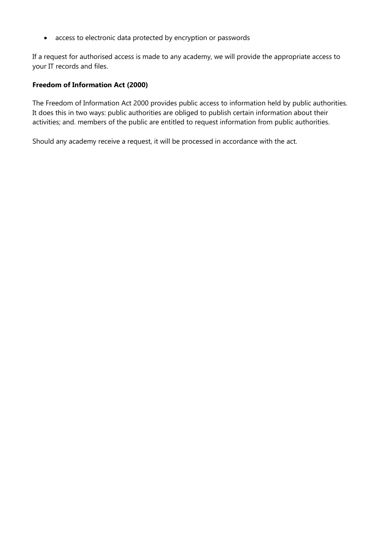• access to electronic data protected by encryption or passwords

If a request for authorised access is made to any academy, we will provide the appropriate access to your IT records and files.

#### **Freedom of Information Act (2000)**

The Freedom of Information Act 2000 provides public access to information held by public authorities. It does this in two ways: public authorities are obliged to publish certain information about their activities; and. members of the public are entitled to request information from public authorities.

Should any academy receive a request, it will be processed in accordance with the act.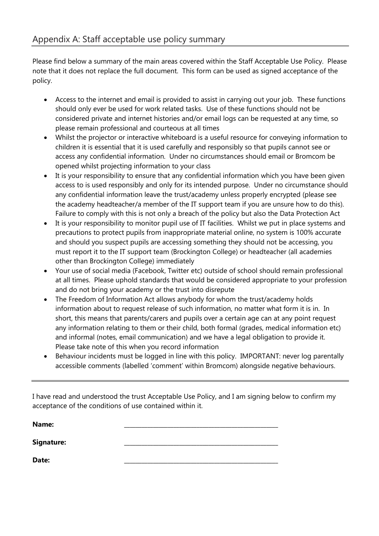Please find below a summary of the main areas covered within the Staff Acceptable Use Policy. Please note that it does not replace the full document. This form can be used as signed acceptance of the policy.

- Access to the internet and email is provided to assist in carrying out your job. These functions should only ever be used for work related tasks. Use of these functions should not be considered private and internet histories and/or email logs can be requested at any time, so please remain professional and courteous at all times
- Whilst the projector or interactive whiteboard is a useful resource for conveying information to children it is essential that it is used carefully and responsibly so that pupils cannot see or access any confidential information. Under no circumstances should email or Bromcom be opened whilst projecting information to your class
- It is your responsibility to ensure that any confidential information which you have been given access to is used responsibly and only for its intended purpose. Under no circumstance should any confidential information leave the trust/academy unless properly encrypted (please see the academy headteacher/a member of the IT support team if you are unsure how to do this). Failure to comply with this is not only a breach of the policy but also the Data Protection Act
- It is your responsibility to monitor pupil use of IT facilities. Whilst we put in place systems and precautions to protect pupils from inappropriate material online, no system is 100% accurate and should you suspect pupils are accessing something they should not be accessing, you must report it to the IT support team (Brockington College) or headteacher (all academies other than Brockington College) immediately
- Your use of social media (Facebook, Twitter etc) outside of school should remain professional at all times. Please uphold standards that would be considered appropriate to your profession and do not bring your academy or the trust into disrepute
- The Freedom of Information Act allows anybody for whom the trust/academy holds information about to request release of such information, no matter what form it is in. In short, this means that parents/carers and pupils over a certain age can at any point request any information relating to them or their child, both formal (grades, medical information etc) and informal (notes, email communication) and we have a legal obligation to provide it. Please take note of this when you record information
- Behaviour incidents must be logged in line with this policy. IMPORTANT: never log parentally accessible comments (labelled 'comment' within Bromcom) alongside negative behaviours.

I have read and understood the trust Acceptable Use Policy, and I am signing below to confirm my acceptance of the conditions of use contained within it.

| Name:      |  |
|------------|--|
| Signature: |  |
| Date:      |  |